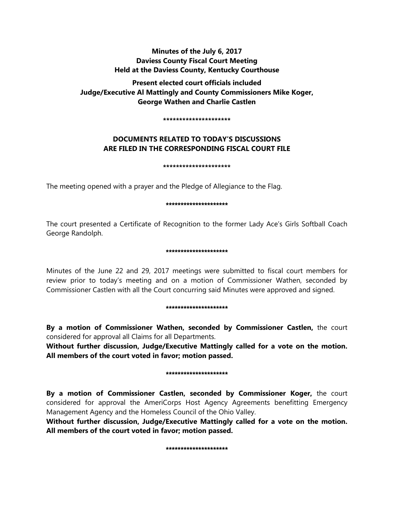# **Minutes of the July 6, 2017 Daviess County Fiscal Court Meeting Held at the Daviess County, Kentucky Courthouse**

# **Present elected court officials included Judge/Executive Al Mattingly and County Commissioners Mike Koger, George Wathen and Charlie Castlen**

#### **\*\*\*\*\*\*\*\*\*\*\*\*\*\*\*\*\*\*\*\*\***

# **DOCUMENTS RELATED TO TODAY'S DISCUSSIONS ARE FILED IN THE CORRESPONDING FISCAL COURT FILE**

**\*\*\*\*\*\*\*\*\*\*\*\*\*\*\*\*\*\*\*\*\***

The meeting opened with a prayer and the Pledge of Allegiance to the Flag.

## \*\*\*\*\*\*\*\*\*\*\*\*\*\*\*\*\*\*\*\*\*

The court presented a Certificate of Recognition to the former Lady Ace's Girls Softball Coach George Randolph.

## \*\*\*\*\*\*\*\*\*\*\*\*\*\*\*\*\*\*\*\*\*

Minutes of the June 22 and 29, 2017 meetings were submitted to fiscal court members for review prior to today's meeting and on a motion of Commissioner Wathen, seconded by Commissioner Castlen with all the Court concurring said Minutes were approved and signed.

## \*\*\*\*\*\*\*\*\*\*\*\*\*\*\*\*\*\*\*\*

**By a motion of Commissioner Wathen, seconded by Commissioner Castlen,** the court considered for approval all Claims for all Departments.

**Without further discussion, Judge/Executive Mattingly called for a vote on the motion. All members of the court voted in favor; motion passed.** 

## \*\*\*\*\*\*\*\*\*\*\*\*\*\*\*\*\*\*\*\*\*

**By a motion of Commissioner Castlen, seconded by Commissioner Koger,** the court considered for approval the AmeriCorps Host Agency Agreements benefitting Emergency Management Agency and the Homeless Council of the Ohio Valley.

**Without further discussion, Judge/Executive Mattingly called for a vote on the motion. All members of the court voted in favor; motion passed.** 

#### \*\*\*\*\*\*\*\*\*\*\*\*\*\*\*\*\*\*\*\*\*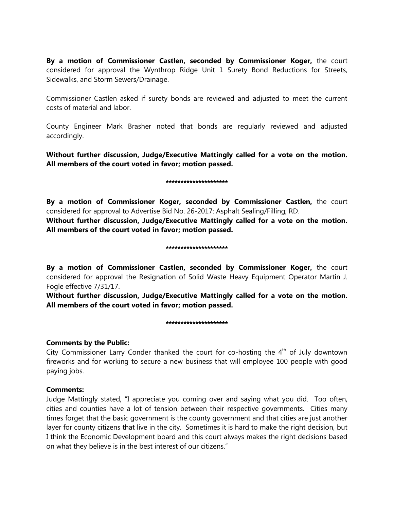**By a motion of Commissioner Castlen, seconded by Commissioner Koger,** the court considered for approval the Wynthrop Ridge Unit 1 Surety Bond Reductions for Streets, Sidewalks, and Storm Sewers/Drainage.

Commissioner Castlen asked if surety bonds are reviewed and adjusted to meet the current costs of material and labor.

County Engineer Mark Brasher noted that bonds are regularly reviewed and adjusted accordingly.

**Without further discussion, Judge/Executive Mattingly called for a vote on the motion. All members of the court voted in favor; motion passed.** 

## \*\*\*\*\*\*\*\*\*\*\*\*\*\*\*\*\*\*\*

**By a motion of Commissioner Koger, seconded by Commissioner Castlen,** the court considered for approval to Advertise Bid No. 26-2017: Asphalt Sealing/Filling; RD.

**Without further discussion, Judge/Executive Mattingly called for a vote on the motion. All members of the court voted in favor; motion passed.** 

## \*\*\*\*\*\*\*\*\*\*\*\*\*\*\*\*\*\*\*\*\*

**By a motion of Commissioner Castlen, seconded by Commissioner Koger,** the court considered for approval the Resignation of Solid Waste Heavy Equipment Operator Martin J. Fogle effective 7/31/17.

**Without further discussion, Judge/Executive Mattingly called for a vote on the motion. All members of the court voted in favor; motion passed.** 

## \*\*\*\*\*\*\*\*\*\*\*\*\*\*\*\*\*\*\*\*\*

## **Comments by the Public:**

City Commissioner Larry Conder thanked the court for co-hosting the  $4<sup>th</sup>$  of July downtown fireworks and for working to secure a new business that will employee 100 people with good paying jobs.

## **Comments:**

Judge Mattingly stated, "I appreciate you coming over and saying what you did. Too often, cities and counties have a lot of tension between their respective governments. Cities many times forget that the basic government is the county government and that cities are just another layer for county citizens that live in the city. Sometimes it is hard to make the right decision, but I think the Economic Development board and this court always makes the right decisions based on what they believe is in the best interest of our citizens."